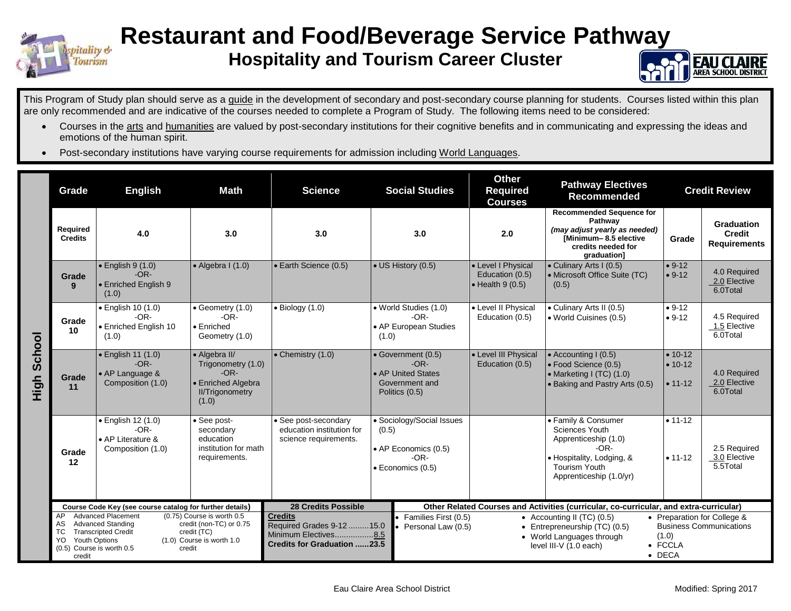

## **Restaurant and Food/Beverage Service Pathway**

## **Hospitality and Tourism Career Cluster**



This Program of Study plan should serve as a guide in the development of secondary and post-secondary course planning for students. Courses listed within this plan are only recommended and are indicative of the courses needed to complete a Program of Study. The following items need to be considered:

- Courses in the arts and humanities are valued by post-secondary institutions for their cognitive benefits and in communicating and expressing the ideas and emotions of the human spirit.
- Post-secondary institutions have varying course requirements for admission including World Languages.

|                | Grade                                                                                                                     | <b>English</b><br>Math<br><b>Science</b>                                                                                                                                                                                               |                                                                       | <b>Social Studies</b>                                                                    |                    | <b>Other</b><br><b>Pathway Electives</b><br><b>Required</b><br><b>Recommended</b><br><b>Courses</b>                                                                                |                                                                                                                                                                | <b>Credit Review</b>                                                                                                                      |                                          |                                                           |
|----------------|---------------------------------------------------------------------------------------------------------------------------|----------------------------------------------------------------------------------------------------------------------------------------------------------------------------------------------------------------------------------------|-----------------------------------------------------------------------|------------------------------------------------------------------------------------------|--------------------|------------------------------------------------------------------------------------------------------------------------------------------------------------------------------------|----------------------------------------------------------------------------------------------------------------------------------------------------------------|-------------------------------------------------------------------------------------------------------------------------------------------|------------------------------------------|-----------------------------------------------------------|
|                | <b>Required</b><br><b>Credits</b>                                                                                         | 4.0                                                                                                                                                                                                                                    | 3.0                                                                   | 3.0                                                                                      |                    | 3.0                                                                                                                                                                                | 2.0                                                                                                                                                            | <b>Recommended Sequence for</b><br>Pathway<br>(may adjust yearly as needed)<br>[Minimum-8.5 elective<br>credits needed for<br>graduation] | Grade                                    | <b>Graduation</b><br><b>Credit</b><br><b>Requirements</b> |
|                | Grade<br>9                                                                                                                | $\bullet$ English 9 (1.0)<br>$-OR-$<br>• Enriched English 9<br>(1.0)                                                                                                                                                                   | $\bullet$ Algebra I (1.0)                                             | • Earth Science (0.5)                                                                    | • US History (0.5) |                                                                                                                                                                                    | • Level I Physical<br>Education (0.5)<br>$\bullet$ Health 9 (0.5)                                                                                              | • Culinary Arts I (0.5)<br>• Microsoft Office Suite (TC)<br>(0.5)                                                                         | $• 9-12$<br>$• 9-12$                     | 4.0 Required<br>2.0 Elective<br>6.0Total                  |
|                | Grade<br>10                                                                                                               | · English 10 (1.0)<br>$-OR-$<br>· Enriched English 10<br>(1.0)                                                                                                                                                                         | • Geometry (1.0)<br>$-OR-$<br>$\bullet$ Enriched<br>Geometry (1.0)    | $\bullet$ Biology (1.0)                                                                  | (1.0)              | · World Studies (1.0)<br>• Level II Physical<br>$-OR-$<br>Education (0.5)<br>• AP European Studies                                                                                 |                                                                                                                                                                | • Culinary Arts II (0.5)<br>• World Cuisines (0.5)                                                                                        | $• 9-12$<br>$• 9-12$                     | 4.5 Required<br>1.5 Elective<br>6.0Total                  |
| School<br>High | Grade<br>11                                                                                                               | $\bullet$ English 11 (1.0)<br>• Algebra II/<br>$\bullet$ Chemistry (1.0)<br>$-OR-$<br>Trigonometry (1.0)<br>$-OR-$<br>• AP Language &<br>Composition (1.0)<br>• Enriched Algebra<br><b>II/Trigonometry</b><br>(1.0)                    |                                                                       | • Government (0.5)<br>$-OR-$<br>• AP United States<br>Government and<br>Politics (0.5)   |                    | • Level III Physical<br>Education (0.5)                                                                                                                                            | • Accounting I (0.5)<br>• Food Science (0.5)<br>• Marketing I (TC) (1.0)<br>• Baking and Pastry Arts (0.5)                                                     | $• 10-12$<br>$• 10-12$<br>$• 11 - 12$                                                                                                     | 4.0 Required<br>2.0 Elective<br>6.0Total |                                                           |
|                | Grade<br>12                                                                                                               | · English 12 (1.0)<br>· See post-secondary<br>• See post-<br>$-OR-$<br>education institution for<br>secondary<br>• AP Literature &<br>education<br>science requirements.<br>institution for math<br>Composition (1.0)<br>requirements. |                                                                       | · Sociology/Social Issues<br>(0.5)<br>• AP Economics (0.5)<br>-OR-<br>· Economics (0.5)  |                    |                                                                                                                                                                                    | • Family & Consumer<br><b>Sciences Youth</b><br>Apprenticeship (1.0)<br>$-OR-$<br>• Hospitality, Lodging, &<br><b>Tourism Youth</b><br>Apprenticeship (1.0/yr) | $• 11 - 12$<br>$• 11-12$                                                                                                                  | 2.5 Required<br>3.0 Elective<br>5.5Total |                                                           |
|                | Course Code Key (see course catalog for further details)<br><b>Advanced Placement</b><br>AP<br>(0.75) Course is worth 0.5 |                                                                                                                                                                                                                                        |                                                                       | <b>28 Credits Possible</b><br><b>Credits</b>                                             |                    | Other Related Courses and Activities (curricular, co-curricular, and extra-curricular)<br>• Families First (0.5)<br>• Accounting II (TC) $(0.5)$<br>• Preparation for College &    |                                                                                                                                                                |                                                                                                                                           |                                          |                                                           |
|                | AS<br>ТC<br>YO.<br><b>Youth Options</b><br>(0.5) Course is worth 0.5<br>credit                                            | <b>Advanced Standing</b><br><b>Transcripted Credit</b><br>credit                                                                                                                                                                       | credit (non-TC) or 0.75<br>credit (TC)<br>$(1.0)$ Course is worth 1.0 | Required Grades 9-12  15.0<br>Minimum Electives8.5<br><b>Credits for Graduation 23.5</b> |                    | <b>Business Communications</b><br>Personal Law (0.5)<br>• Entrepreneurship (TC) (0.5)<br>(1.0)<br>• World Languages through<br>• FCCLA<br>level III-V (1.0 each)<br>$\bullet$ DECA |                                                                                                                                                                |                                                                                                                                           |                                          |                                                           |